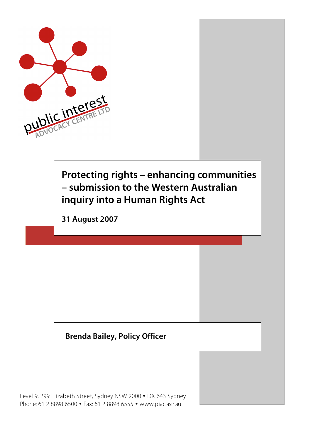

# **Protecting rights – enhancing communities – submission to the Western Australian inquiry into a Human Rights Act**

**31 August 2007**

#### **Brenda Bailey, Policy Officer**

Level 9, 299 Elizabeth Street, Sydney NSW 2000 • DX 643 Sydney Phone: 61 2 8898 6500 • Fax: 61 2 8898 6555 • www.piac.asn.au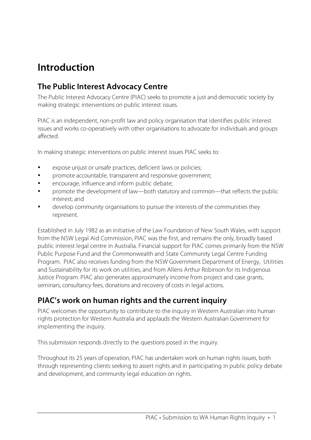### **Introduction**

#### **The Public Interest Advocacy Centre**

The Public Interest Advocacy Centre (PIAC) seeks to promote a just and democratic society by making strategic interventions on public interest issues.

PIAC is an independent, non-profit law and policy organisation that identifies public interest issues and works co-operatively with other organisations to advocate for individuals and groups affected.

In making strategic interventions on public interest issues PIAC seeks to:

- expose unjust or unsafe practices, deficient laws or policies;
- promote accountable, transparent and responsive government;
- encourage, influence and inform public debate;
- promote the development of law—both statutory and common—that reflects the public interest; and
- develop community organisations to pursue the interests of the communities they represent.

Established in July 1982 as an initiative of the Law Foundation of New South Wales, with support from the NSW Legal Aid Commission, PIAC was the first, and remains the only, broadly based public interest legal centre in Australia. Financial support for PIAC comes primarily from the NSW Public Purpose Fund and the Commonwealth and State Community Legal Centre Funding Program. PIAC also receives funding from the NSW Government Department of Energy, Utilities and Sustainability for its work on utilities, and from Allens Arthur Robinson for its Indigenous Justice Program. PIAC also generates approximately income from project and case grants, seminars, consultancy fees, donations and recovery of costs in legal actions.

#### **PIAC's work on human rights and the current inquiry**

PIAC welcomes the opportunity to contribute to the inquiry in Western Australian into human rights protection for Western Australia and applauds the Western Australian Government for implementing the inquiry.

This submission responds directly to the questions posed in the inquiry.

Throughout its 25 years of operation, PIAC has undertaken work on human rights issues, both through representing clients seeking to assert rights and in participating in public policy debate and development, and community legal education on rights.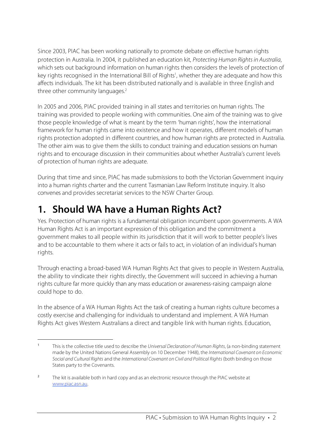Since 2003, PIAC has been working nationally to promote debate on effective human rights protection in Australia. In 2004, it published an education kit, Protecting Human Rights in Australia, which sets out background information on human rights then considers the levels of protection of key rights recognised in the International Bill of Rights<sup>1</sup>, whether they are adequate and how this affects individuals. The kit has been distributed nationally and is available in three English and three other community languages. 2

In 2005 and 2006, PIAC provided training in all states and territories on human rights. The training was provided to people working with communities. One aim of the training was to give those people knowledge of what is meant by the term 'human rights', how the international framework for human rights came into existence and how it operates, different models of human rights protection adopted in different countries, and how human rights are protected in Australia. The other aim was to give them the skills to conduct training and education sessions on human rights and to encourage discussion in their communities about whether Australia's current levels of protection of human rights are adequate.

During that time and since, PIAC has made submissions to both the Victorian Government inquiry into a human rights charter and the current Tasmanian Law Reform Institute inquiry. It also convenes and provides secretariat services to the NSW Charter Group.

# **1. Should WA have a Human Rights Act?**

Yes. Protection of human rights is a fundamental obligation incumbent upon governments. A WA Human Rights Act is an important expression of this obligation and the commitment a government makes to all people within its jurisdiction that it will work to better people's lives and to be accountable to them where it acts or fails to act, in violation of an individual's human rights.

Through enacting a broad-based WA Human Rights Act that gives to people in Western Australia, the ability to vindicate their rights directly, the Government will succeed in achieving a human rights culture far more quickly than any mass education or awareness-raising campaign alone could hope to do.

In the absence of a WA Human Rights Act the task of creating a human rights culture becomes a costly exercise and challenging for individuals to understand and implement. A WA Human Rights Act gives Western Australians a direct and tangible link with human rights. Education,

I <sup>1</sup> This is the collective title used to describe the Universal Declaration of Human Rights, (a non-binding statement made by the United Nations General Assembly on 10 December 1948), the International Covenant on Economic Social and Cultural Rights and the International Covenant on Civil and Political Rights (both binding on those States party to the Covenants.

<sup>&</sup>lt;sup>2</sup> The kit is available both in hard copy and as an electronic resource through the PIAC website at www.piac.asn.au.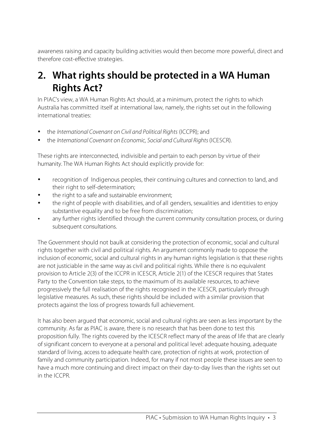awareness raising and capacity building activities would then become more powerful, direct and therefore cost-effective strategies.

### **2. What rights should be protected in a WA Human Rights Act?**

In PIAC's view, a WA Human Rights Act should, at a minimum, protect the rights to which Australia has committed itself at international law, namely, the rights set out in the following international treaties:

- the International Covenant on Civil and Political Rights (ICCPR); and
- the International Covenant on Economic, Social and Cultural Rights (ICESCR).

These rights are interconnected, indivisible and pertain to each person by virtue of their humanity. The WA Human Rights Act should explicitly provide for:

- recognition of Indigenous peoples, their continuing cultures and connection to land, and their right to self-determination;
- the right to a safe and sustainable environment;
- the right of people with disabilities, and of all genders, sexualities and identities to enjoy substantive equality and to be free from discrimination;
- any further rights identified through the current community consultation process, or during subsequent consultations.

The Government should not baulk at considering the protection of economic, social and cultural rights together with civil and political rights. An argument commonly made to oppose the inclusion of economic, social and cultural rights in any human rights legislation is that these rights are not justiciable in the same way as civil and political rights. While there is no equivalent provision to Article 2(3) of the ICCPR in ICESCR, Article 2(1) of the ICESCR requires that States Party to the Convention take steps, to the maximum of its available resources, to achieve progressively the full realisation of the rights recognised in the ICESCR, particularly through legislative measures. As such, these rights should be included with a similar provision that protects against the loss of progress towards full achievement.

It has also been argued that economic, social and cultural rights are seen as less important by the community. As far as PIAC is aware, there is no research that has been done to test this proposition fully. The rights covered by the ICESCR reflect many of the areas of life that are clearly of significant concern to everyone at a personal and political level: adequate housing, adequate standard of living, access to adequate health care, protection of rights at work, protection of family and community participation. Indeed, for many if not most people these issues are seen to have a much more continuing and direct impact on their day-to-day lives than the rights set out in the ICCPR.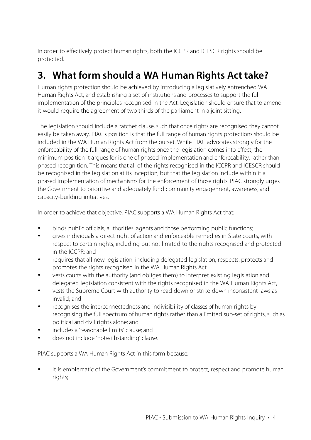In order to effectively protect human rights, both the ICCPR and ICESCR rights should be protected.

# **3. What form should a WA Human Rights Act take?**

Human rights protection should be achieved by introducing a legislatively entrenched WA Human Rights Act, and establishing a set of institutions and processes to support the full implementation of the principles recognised in the Act. Legislation should ensure that to amend it would require the agreement of two thirds of the parliament in a joint sitting.

The legislation should include a ratchet clause, such that once rights are recognised they cannot easily be taken away. PIAC's position is that the full range of human rights protections should be included in the WA Human Rights Act from the outset. While PIAC advocates strongly for the enforceability of the full range of human rights once the legislation comes into effect, the minimum position it argues for is one of phased implementation and enforceability, rather than phased recognition. This means that all of the rights recognised in the ICCPR and ICESCR should be recognised in the legislation at its inception, but that the legislation include within it a phased implementation of mechanisms for the enforcement of those rights. PIAC strongly urges the Government to prioritise and adequately fund community engagement, awareness, and capacity-building initiatives.

In order to achieve that objective, PIAC supports a WA Human Rights Act that:

- binds public officials, authorities, agents and those performing public functions;
- gives individuals a direct right of action and enforceable remedies in State courts, with respect to certain rights, including but not limited to the rights recognised and protected in the ICCPR; and
- requires that all new legislation, including delegated legislation, respects, protects and promotes the rights recognised in the WA Human Rights Act
- vests courts with the authority (and obliges them) to interpret existing legislation and delegated legislation consistent with the rights recognised in the WA Human Rights Act,
- vests the Supreme Court with authority to read down or strike down inconsistent laws as invalid; and
- recognises the interconnectedness and indivisibility of classes of human rights by recognising the full spectrum of human rights rather than a limited sub-set of rights, such as political and civil rights alone; and
- includes a 'reasonable limits' clause; and
- does not include 'notwithstanding' clause.

PIAC supports a WA Human Rights Act in this form because:

it is emblematic of the Government's commitment to protect, respect and promote human rights;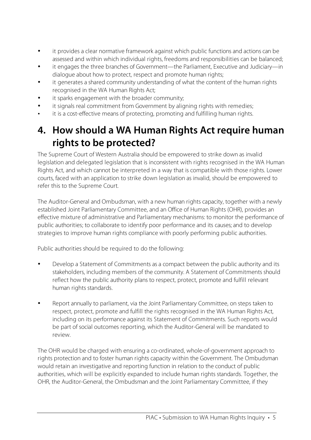- it provides a clear normative framework against which public functions and actions can be assessed and within which individual rights, freedoms and responsibilities can be balanced;
- it engages the three branches of Government—the Parliament, Executive and Judiciary—in dialogue about how to protect, respect and promote human rights;
- it generates a shared community understanding of what the content of the human rights recognised in the WA Human Rights Act;
- it sparks engagement with the broader community;
- it signals real commitment from Government by aligning rights with remedies;
- it is a cost-effective means of protecting, promoting and fulfilling human rights.

### **4. How should a WA Human Rights Act require human rights to be protected?**

The Supreme Court of Western Australia should be empowered to strike down as invalid legislation and delegated legislation that is inconsistent with rights recognised in the WA Human Rights Act, and which cannot be interpreted in a way that is compatible with those rights. Lower courts, faced with an application to strike down legislation as invalid, should be empowered to refer this to the Supreme Court.

The Auditor-General and Ombudsman, with a new human rights capacity, together with a newly established Joint Parliamentary Committee, and an Office of Human Rights (OHR), provides an effective mixture of administrative and Parliamentary mechanisms: to monitor the performance of public authorities; to collaborate to identify poor performance and its causes; and to develop strategies to improve human rights compliance with poorly performing public authorities.

Public authorities should be required to do the following:

- Develop a Statement of Commitments as a compact between the public authority and its stakeholders, including members of the community. A Statement of Commitments should reflect how the public authority plans to respect, protect, promote and fulfill relevant human rights standards.
- Report annually to parliament, via the Joint Parliamentary Committee, on steps taken to respect, protect, promote and fulfill the rights recognised in the WA Human Rights Act, including on its performance against its Statement of Commitments. Such reports would be part of social outcomes reporting, which the Auditor-General will be mandated to review.

The OHR would be charged with ensuring a co-ordinated, whole-of-government approach to rights protection and to foster human rights capacity within the Government. The Ombudsman would retain an investigative and reporting function in relation to the conduct of public authorities, which will be explicitly expanded to include human rights standards. Together, the OHR, the Auditor-General, the Ombudsman and the Joint Parliamentary Committee, if they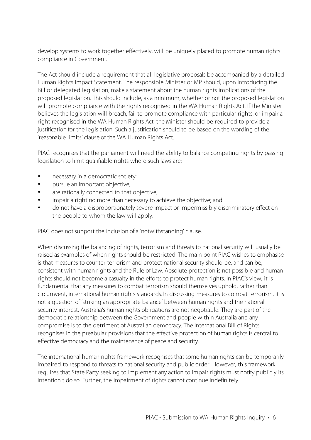develop systems to work together effectively, will be uniquely placed to promote human rights compliance in Government.

The Act should include a requirement that all legislative proposals be accompanied by a detailed Human Rights Impact Statement. The responsible Minister or MP should, upon introducing the Bill or delegated legislation, make a statement about the human rights implications of the proposed legislation. This should include, as a minimum, whether or not the proposed legislation will promote compliance with the rights recognised in the WA Human Rights Act. If the Minister believes the legislation will breach, fail to promote compliance with particular rights, or impair a right recognised in the WA Human Rights Act, the Minister should be required to provide a justification for the legislation. Such a justification should to be based on the wording of the 'reasonable limits' clause of the WA Human Rights Act.

PIAC recognises that the parliament will need the ability to balance competing rights by passing legislation to limit qualifiable rights where such laws are:

- necessary in a democratic society;
- pursue an important objective;
- are rationally connected to that objective;
- impair a right no more than necessary to achieve the objective; and
- do not have a disproportionately severe impact or impermissibly discriminatory effect on the people to whom the law will apply.

PIAC does not support the inclusion of a 'notwithstanding' clause.

When discussing the balancing of rights, terrorism and threats to national security will usually be raised as examples of when rights should be restricted. The main point PIAC wishes to emphasise is that measures to counter terrorism and protect national security should be, and can be, consistent with human rights and the Rule of Law. Absolute protection is not possible and human rights should not become a casualty in the efforts to protect human rights. In PIAC's view, it is fundamental that any measures to combat terrorism should themselves uphold, rather than circumvent, international human rights standards. In discussing measures to combat terrorism, it is not a question of 'striking an appropriate balance' between human rights and the national security interest. Australia's human rights obligations are not negotiable. They are part of the democratic relationship between the Government and people within Australia and any compromise is to the detriment of Australian democracy. The International Bill of Rights recognises in the preabular provisions that the effective protection of human rights is central to effective democracy and the maintenance of peace and security.

The international human rights framework recognises that some human rights can be temporarily impaired to respond to threats to national security and public order. However, this framework requires that State Party seeking to implement any action to impair rights must notify publicly its intention t do so. Further, the impairment of rights cannot continue indefinitely.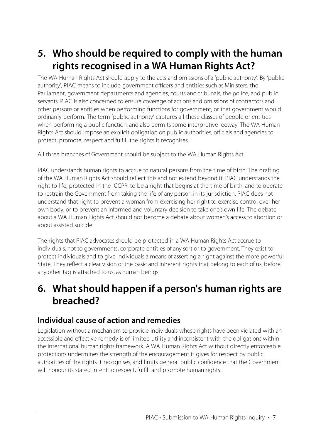# **5. Who should be required to comply with the human rights recognised in a WA Human Rights Act?**

The WA Human Rights Act should apply to the acts and omissions of a 'public authority'. By 'public authority', PIAC means to include government officers and entities such as Ministers, the Parliament, government departments and agencies, courts and tribunals, the police, and public servants. PIAC is also concerned to ensure coverage of actions and omissions of contractors and other persons or entities when performing functions for government, or that government would ordinarily perform. The term 'public authority' captures all these classes of people or entities when performing a public function, and also permits some interpretive leeway. The WA Human Rights Act should impose an explicit obligation on public authorities, officials and agencies to protect, promote, respect and fulfill the rights it recognises.

All three branches of Government should be subject to the WA Human Rights Act.

PIAC understands human rights to accrue to natural persons from the time of birth. The drafting of the WA Human Rights Act should reflect this and not extend beyond it. PIAC understands the right to life, protected in the ICCPR, to be a right that begins at the time of birth, and to operate to restrain the Government from taking the life of any person in its jurisdiction. PIAC does not understand that right to prevent a woman from exercising her right to exercise control over her own body, or to prevent an informed and voluntary decision to take one's own life. The debate about a WA Human Rights Act should not become a debate about women's access to abortion or about assisted suicide.

The rights that PIAC advocates should be protected in a WA Human Rights Act accrue to individuals, not to governments, corporate entities of any sort or to government. They exist to protect individuals and to give individuals a means of asserting a right against the more powerful State. They reflect a clear vision of the basic and inherent rights that belong to each of us, before any other tag is attached to us, as human beings.

### **6. What should happen if a person's human rights are breached?**

#### **Individual cause of action and remedies**

Legislation without a mechanism to provide individuals whose rights have been violated with an accessible and effective remedy is of limited utility and inconsistent with the obligations within the international human rights framework. A WA Human Rights Act without directly enforceable protections undermines the strength of the encouragement it gives for respect by public authorities of the rights it recognises, and limits general public confidence that the Government will honour its stated intent to respect, fulfill and promote human rights.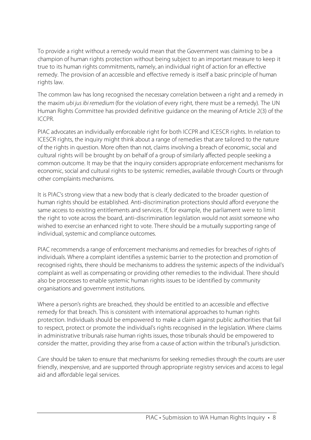To provide a right without a remedy would mean that the Government was claiming to be a champion of human rights protection without being subject to an important measure to keep it true to its human rights commitments, namely, an individual right of action for an effective remedy. The provision of an accessible and effective remedy is itself a basic principle of human rights law.

The common law has long recognised the necessary correlation between a right and a remedy in the maxim ubi jus ibi remedium (for the violation of every right, there must be a remedy). The UN Human Rights Committee has provided definitive guidance on the meaning of Article 2(3) of the ICCPR.

PIAC advocates an individually enforceable right for both ICCPR and ICESCR rights. In relation to ICESCR rights, the inquiry might think about a range of remedies that are tailored to the nature of the rights in question. More often than not, claims involving a breach of economic, social and cultural rights will be brought by on behalf of a group of similarly affected people seeking a common outcome. It may be that the inquiry considers appropriate enforcement mechanisms for economic, social and cultural rights to be systemic remedies, available through Courts or through other complaints mechanisms.

It is PIAC's strong view that a new body that is clearly dedicated to the broader question of human rights should be established. Anti-discrimination protections should afford everyone the same access to existing entitlements and services. If, for example, the parliament were to limit the right to vote across the board, anti-discrimination legislation would not assist someone who wished to exercise an enhanced right to vote. There should be a mutually supporting range of individual, systemic and compliance outcomes.

PIAC recommends a range of enforcement mechanisms and remedies for breaches of rights of individuals. Where a complaint identifies a systemic barrier to the protection and promotion of recognised rights, there should be mechanisms to address the systemic aspects of the individual's complaint as well as compensating or providing other remedies to the individual. There should also be processes to enable systemic human rights issues to be identified by community organisations and government institutions.

Where a person's rights are breached, they should be entitled to an accessible and effective remedy for that breach. This is consistent with international approaches to human rights protection. Individuals should be empowered to make a claim against public authorities that fail to respect, protect or promote the individual's rights recognised in the legislation. Where claims in administrative tribunals raise human rights issues, those tribunals should be empowered to consider the matter, providing they arise from a cause of action within the tribunal's jurisdiction.

Care should be taken to ensure that mechanisms for seeking remedies through the courts are user friendly, inexpensive, and are supported through appropriate registry services and access to legal aid and affordable legal services.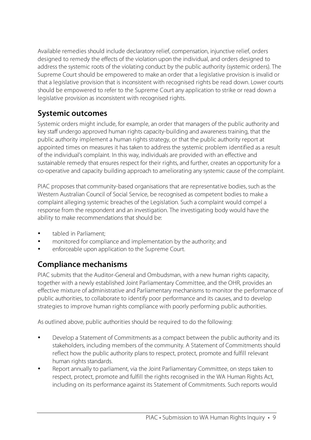Available remedies should include declaratory relief, compensation, injunctive relief, orders designed to remedy the effects of the violation upon the individual, and orders designed to address the systemic roots of the violating conduct by the public authority (systemic orders). The Supreme Court should be empowered to make an order that a legislative provision is invalid or that a legislative provision that is inconsistent with recognised rights be read down. Lower courts should be empowered to refer to the Supreme Court any application to strike or read down a legislative provision as inconsistent with recognised rights.

#### **Systemic outcomes**

Systemic orders might include, for example, an order that managers of the public authority and key staff undergo approved human rights capacity-building and awareness training, that the public authority implement a human rights strategy, or that the public authority report at appointed times on measures it has taken to address the systemic problem identified as a result of the individual's complaint. In this way, individuals are provided with an effective and sustainable remedy that ensures respect for their rights, and further, creates an opportunity for a co-operative and capacity building approach to ameliorating any systemic cause of the complaint.

PIAC proposes that community-based organisations that are representative bodies, such as the Western Australian Council of Social Service, be recognised as competent bodies to make a complaint alleging systemic breaches of the Legislation. Such a complaint would compel a response from the respondent and an investigation. The investigating body would have the ability to make recommendations that should be:

- tabled in Parliament<sup>®</sup>
- monitored for compliance and implementation by the authority; and
- enforceable upon application to the Supreme Court.

#### **Compliance mechanisms**

PIAC submits that the Auditor-General and Ombudsman, with a new human rights capacity, together with a newly established Joint Parliamentary Committee, and the OHR, provides an effective mixture of administrative and Parliamentary mechanisms to monitor the performance of public authorities, to collaborate to identify poor performance and its causes, and to develop strategies to improve human rights compliance with poorly performing public authorities.

As outlined above, public authorities should be required to do the following:

- Develop a Statement of Commitments as a compact between the public authority and its stakeholders, including members of the community. A Statement of Commitments should reflect how the public authority plans to respect, protect, promote and fulfill relevant human rights standards.
- Report annually to parliament, via the Joint Parliamentary Committee, on steps taken to respect, protect, promote and fulfill the rights recognised in the WA Human Rights Act, including on its performance against its Statement of Commitments. Such reports would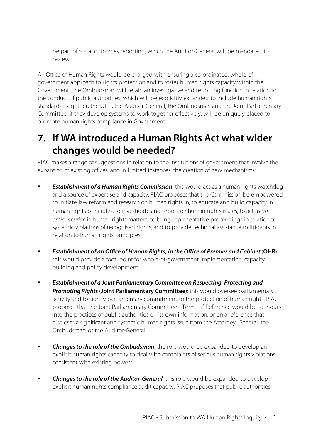be part of social outcomes reporting, which the Auditor-General will be mandated to review.

An Office of Human Rights would be charged with ensuring a co-ordinated, whole-ofgovernment approach to rights protection and to foster human rights capacity within the Government. The Ombudsman will retain an investigative and reporting function in relation to the conduct of public authorities, which will be explicitly expanded to include human rights standards. Together, the OHR, the Auditor-General, the Ombudsman and the Joint Parliamentary Committee, if they develop systems to work together effectively, will be uniquely placed to promote human rights compliance in Government.

### **7. If WA introduced a Human Rights Act what wider changes would be needed?**

PIAC makes a range of suggestions in relation to the institutions of government that involve the expansion of existing offices, and in limited instances, the creation of new mechanisms:

- **Establishment of a Human Rights Commission**: this would act as a human rights watchdog and a source of expertise and capacity. PIAC proposes that the Commission be empowered to initiate law reform and research on human rights in, to educate and build capacity in human rights principles, to investigate and report on human rights issues, to act as an amicus curiae in human rights matters, to bring representative proceedings in relation to systemic violations of recognised rights, and to provide technical assistance to litigants in relation to human rights principles.
- **Establishment of an Office of Human Rights, in the Office of Premier and Cabinet** (**OHR**): this would provide a focal point for whole-of-government implementation, capacity building and policy development.
- **Establishment of a Joint Parliamentary Committee on Respecting, Protecting and Promoting Rights**(**Joint Parliamentary Committee**): this would oversee parliamentary activity and to signify parliamentary commitment to the protection of human rights. PIAC proposes that the Joint Parliamentary Committee's Terms of Reference would be to inquire into the practices of public authorities on its own information, or on a reference that discloses a significant and systemic human rights issue from the Attorney General, the Ombudsman, or the Auditor-General.
- **Changes to the role of the Ombudsman**: the role would be expanded to develop an explicit human rights capacity to deal with complaints of serious human rights violations consistent with existing powers.
- **Changes to the role of the Auditor-General**: this role would be expanded to develop explicit human rights compliance audit capacity. PIAC proposes that public authorities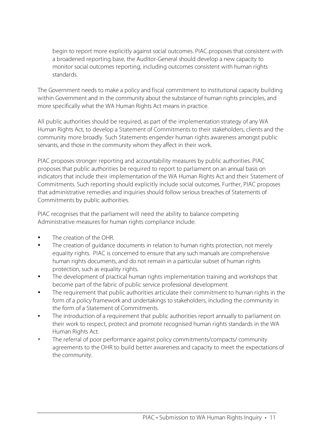begin to report more explicitly against social outcomes. PIAC proposes that consistent with a broadened reporting base, the Auditor-General should develop a new capacity to monitor social outcomes reporting, including outcomes consistent with human rights standards.

The Government needs to make a policy and fiscal commitment to institutional capacity building within Government and in the community about the substance of human rights principles, and more specifically what the WA Human Rights Act means in practice.

All public authorities should be required, as part of the implementation strategy of any WA Human Rights Act, to develop a Statement of Commitments to their stakeholders, clients and the community more broadly. Such Statements engender human rights awareness amongst public servants, and those in the community whom they affect in their work.

PIAC proposes stronger reporting and accountability measures by public authorities. PIAC proposes that public authorities be required to report to parliament on an annual basis on indicators that include their implementation of the WA Human Rights Act and their Statement of Commitments. Such reporting should explicitly include social outcomes. Further, PIAC proposes that administrative remedies and inquiries should follow serious breaches of Statements of Commitments by public authorities.

PIAC recognises that the parliament will need the ability to balance competing Administrative measures for human rights compliance include:

- The creation of the OHR.
- The creation of quidance documents in relation to human rights protection, not merely equality rights. PIAC is concerned to ensure that any such manuals are comprehensive human rights documents, and do not remain in a particular subset of human rights protection, such as equality rights.
- The development of practical human rights implementation training and workshops that become part of the fabric of public service professional development.
- The requirement that public authorities articulate their commitment to human rights in the form of a policy framework and undertakings to stakeholders, including the community in the form of a Statement of Commitments.
- The introduction of a requirement that public authorities report annually to parliament on their work to respect, protect and promote recognised human rights standards in the WA Human Rights Act.
- The referral of poor performance against policy commitments/compacts/ community agreements to the OHR to build better awareness and capacity to meet the expectations of the community.